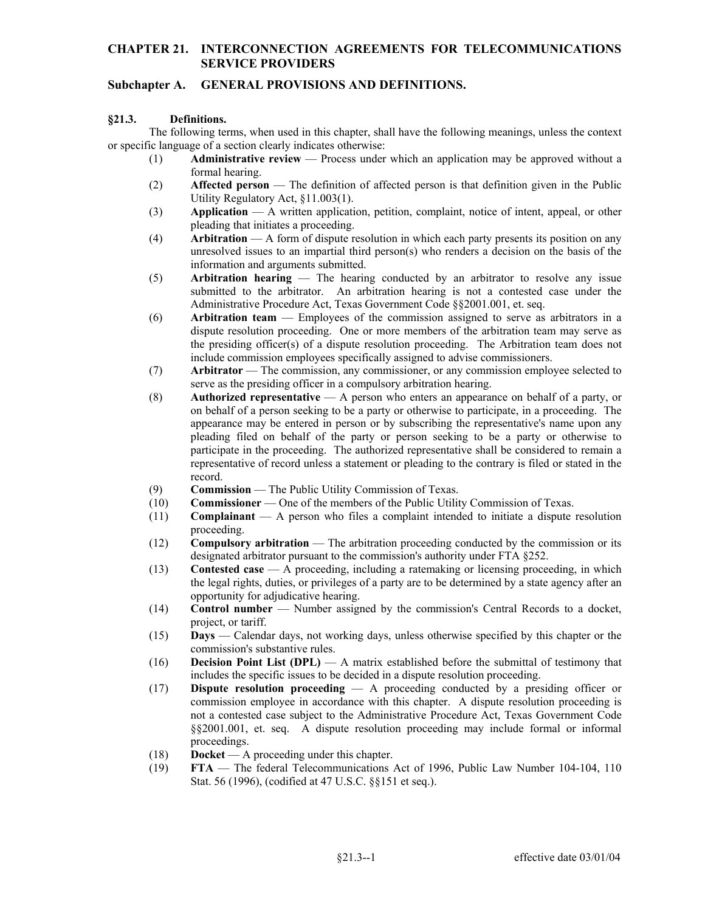### **CHAPTER 21. INTERCONNECTION AGREEMENTS FOR TELECOMMUNICATIONS SERVICE PROVIDERS**

# **Subchapter A. GENERAL PROVISIONS AND DEFINITIONS.**

#### **§21.3. Definitions.**

The following terms, when used in this chapter, shall have the following meanings, unless the context or specific language of a section clearly indicates otherwise:

- (1) **Administrative review** Process under which an application may be approved without a formal hearing.
- (2) **Affected person** The definition of affected person is that definition given in the Public Utility Regulatory Act, §11.003(1).
- (3) **Application**  A written application, petition, complaint, notice of intent, appeal, or other pleading that initiates a proceeding.
- (4) **Arbitration** A form of dispute resolution in which each party presents its position on any unresolved issues to an impartial third person(s) who renders a decision on the basis of the information and arguments submitted.
- (5) **Arbitration hearing**  The hearing conducted by an arbitrator to resolve any issue submitted to the arbitrator. An arbitration hearing is not a contested case under the Administrative Procedure Act, Texas Government Code §§2001.001, et. seq.
- (6) **Arbitration team** Employees of the commission assigned to serve as arbitrators in a dispute resolution proceeding. One or more members of the arbitration team may serve as the presiding officer(s) of a dispute resolution proceeding. The Arbitration team does not include commission employees specifically assigned to advise commissioners.
- (7) **Arbitrator**  The commission, any commissioner, or any commission employee selected to serve as the presiding officer in a compulsory arbitration hearing.
- (8) **Authorized representative**  A person who enters an appearance on behalf of a party, or on behalf of a person seeking to be a party or otherwise to participate, in a proceeding. The appearance may be entered in person or by subscribing the representative's name upon any pleading filed on behalf of the party or person seeking to be a party or otherwise to participate in the proceeding. The authorized representative shall be considered to remain a representative of record unless a statement or pleading to the contrary is filed or stated in the record.
- (9) **Commission**  The Public Utility Commission of Texas.
- (10) **Commissioner**  One of the members of the Public Utility Commission of Texas.
- (11) **Complainant**  A person who files a complaint intended to initiate a dispute resolution proceeding.
- (12) **Compulsory arbitration** The arbitration proceeding conducted by the commission or its designated arbitrator pursuant to the commission's authority under FTA §252.
- (13) **Contested case** A proceeding, including a ratemaking or licensing proceeding, in which the legal rights, duties, or privileges of a party are to be determined by a state agency after an opportunity for adjudicative hearing.
- (14) **Control number** Number assigned by the commission's Central Records to a docket, project, or tariff.
- (15) **Days** Calendar days, not working days, unless otherwise specified by this chapter or the commission's substantive rules.
- (16) **Decision Point List (DPL)**  A matrix established before the submittal of testimony that includes the specific issues to be decided in a dispute resolution proceeding.
- (17) **Dispute resolution proceeding** A proceeding conducted by a presiding officer or commission employee in accordance with this chapter. A dispute resolution proceeding is not a contested case subject to the Administrative Procedure Act, Texas Government Code §§2001.001, et. seq. A dispute resolution proceeding may include formal or informal proceedings.
- (18) **Docket**  A proceeding under this chapter.
- (19) **FTA**  The federal Telecommunications Act of 1996, Public Law Number 104-104, 110 Stat. 56 (1996), (codified at 47 U.S.C. §§151 et seq.).